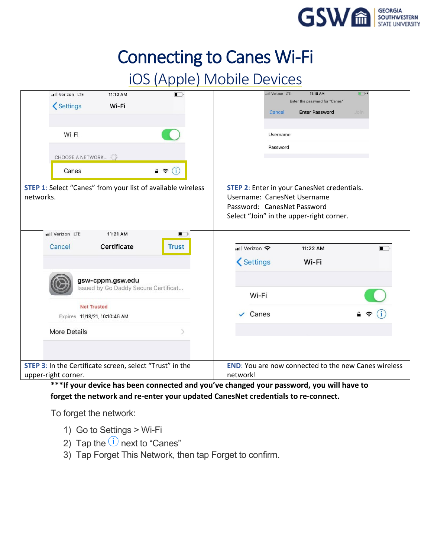

## iOS (Apple) Mobile Devices

| ull Verizon LTE                                                                                               | 11:12 AM<br>$\blacksquare$           |               | ull Verizon LTE             | 11:18 AM                                           | $\Box$                                                      |
|---------------------------------------------------------------------------------------------------------------|--------------------------------------|---------------|-----------------------------|----------------------------------------------------|-------------------------------------------------------------|
| <settings< td=""><td>Wi-Fi</td><td></td><td></td><td>Enter the password for "Canes"</td><td></td></settings<> | Wi-Fi                                |               |                             | Enter the password for "Canes"                     |                                                             |
|                                                                                                               |                                      |               | Cancel                      | <b>Enter Password</b>                              | Join                                                        |
|                                                                                                               |                                      |               |                             |                                                    |                                                             |
| Wi-Fi                                                                                                         |                                      |               | Username                    |                                                    |                                                             |
|                                                                                                               |                                      |               | Password                    |                                                    |                                                             |
| CHOOSE A NETWORK                                                                                              |                                      |               |                             |                                                    |                                                             |
| Canes                                                                                                         | (i)<br>$\rightarrow$                 |               |                             |                                                    |                                                             |
| <b>STEP 1:</b> Select "Canes" from your list of available wireless                                            |                                      |               |                             | <b>STEP 2:</b> Enter in your CanesNet credentials. |                                                             |
| networks.                                                                                                     |                                      |               | Username: CanesNet Username |                                                    |                                                             |
|                                                                                                               |                                      |               | Password: CanesNet Password |                                                    |                                                             |
|                                                                                                               |                                      |               |                             | Select "Join" in the upper-right corner.           |                                                             |
|                                                                                                               |                                      |               |                             |                                                    |                                                             |
| ull Verizon LTE                                                                                               | 11:21 AM<br>$\blacksquare$           |               |                             |                                                    |                                                             |
| Cancel                                                                                                        | Certificate<br><b>Trust</b>          | ull Verizon 후 |                             | 11:22 AM                                           | $\blacksquare$                                              |
|                                                                                                               |                                      |               |                             |                                                    |                                                             |
|                                                                                                               |                                      | Settings      |                             | Wi-Fi                                              |                                                             |
|                                                                                                               |                                      |               |                             |                                                    |                                                             |
| gsw-cppm.gsw.edu                                                                                              |                                      |               |                             |                                                    |                                                             |
|                                                                                                               | Issued by Go Daddy Secure Certificat | Wi-Fi         |                             |                                                    |                                                             |
|                                                                                                               |                                      |               |                             |                                                    |                                                             |
| <b>Not Trusted</b>                                                                                            |                                      | $\vee$ Canes  |                             |                                                    |                                                             |
| Expires 11/19/21, 10:10:46 AM                                                                                 |                                      |               |                             |                                                    |                                                             |
| <b>More Details</b>                                                                                           |                                      |               |                             |                                                    |                                                             |
|                                                                                                               |                                      |               |                             |                                                    |                                                             |
|                                                                                                               |                                      |               |                             |                                                    |                                                             |
|                                                                                                               |                                      |               |                             |                                                    |                                                             |
| STEP 3: In the Certificate screen, select "Trust" in the                                                      |                                      |               |                             |                                                    | <b>END:</b> You are now connected to the new Canes wireless |
| upper-right corner.                                                                                           |                                      | network!      |                             |                                                    |                                                             |

**\*\*\*If your device has been connected and you've changed your password, you will have to forget the network and re-enter your updated CanesNet credentials to re-connect.** 

To forget the network:

- 1) Go to Settings > Wi-Fi
- 2) Tap the  $(i)$  next to "Canes"
- 3) Tap Forget This Network, then tap Forget to confirm.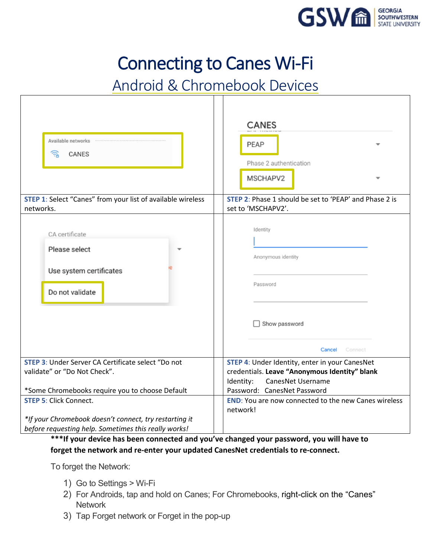

# Android & Chromebook Devices

| Available networks <b>www.community.com</b><br>写<br>CANES                       | <b>CANES</b><br>PEAP<br>Phase 2 authentication<br>MSCHAPV2                                                            |  |  |
|---------------------------------------------------------------------------------|-----------------------------------------------------------------------------------------------------------------------|--|--|
| <b>STEP 1:</b> Select "Canes" from your list of available wireless              | STEP 2: Phase 1 should be set to 'PEAP' and Phase 2 is                                                                |  |  |
| networks.                                                                       | set to 'MSCHAPV2'.                                                                                                    |  |  |
| CA certificate<br>Please select<br>Use system certificates<br>Do not validate   | Identity<br>Anonymous identity<br>Password<br>Show password<br>Cancel<br>Connect                                      |  |  |
| STEP 3: Under Server CA Certificate select "Do not                              | STEP 4: Under Identity, enter in your CanesNet                                                                        |  |  |
| validate" or "Do Not Check".<br>*Some Chromebooks require you to choose Default | credentials. Leave "Anonymous Identity" blank<br>Identity:<br><b>CanesNet Username</b><br>Password: CanesNet Password |  |  |
| <b>STEP 5: Click Connect.</b>                                                   | <b>END:</b> You are now connected to the new Canes wireless<br>network!                                               |  |  |
| *If your Chromebook doesn't connect, try restarting it                          |                                                                                                                       |  |  |
| before requesting help. Sometimes this really works!                            |                                                                                                                       |  |  |

**\*\*\*If your device has been connected and you've changed your password, you will have to forget the network and re-enter your updated CanesNet credentials to re-connect.**

To forget the Network:

- 1) Go to Settings > Wi-Fi
- 2) For Androids, tap and hold on Canes; For Chromebooks, right-click on the "Canes" **Network**
- 3) Tap Forget network or Forget in the pop-up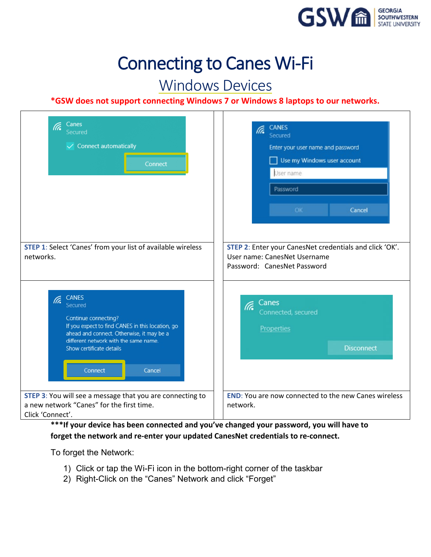

## Windows Devices

#### **\*GSW does not support connecting Windows 7 or Windows 8 laptops to our networks.**

| Canes<br>lta.<br>Secured<br>$\checkmark$ Connect automatically<br>Connect                                                                                                                                                                          | <b>CANES</b><br>lta.<br>Secured<br>Enter your user name and password<br>Use my Windows user account<br>- 1<br>User name<br>Password    |
|----------------------------------------------------------------------------------------------------------------------------------------------------------------------------------------------------------------------------------------------------|----------------------------------------------------------------------------------------------------------------------------------------|
| STEP 1: Select 'Canes' from your list of available wireless<br>networks.                                                                                                                                                                           | OK<br>Cancel<br>STEP 2: Enter your CanesNet credentials and click 'OK'.<br>User name: CanesNet Username<br>Password: CanesNet Password |
| <b>CANES</b><br>lla.<br>Secured<br>Continue connecting?<br>If you expect to find CANES in this location, go<br>ahead and connect. Otherwise, it may be a<br>different network with the same name.<br>Show certificate details<br>Connect<br>Cancel | Canes<br>lh.<br>Connected, secured<br>Properties<br><b>Disconnect</b>                                                                  |
| STEP 3: You will see a message that you are connecting to<br>a new network "Canes" for the first time.<br>Click 'Connect'.                                                                                                                         | <b>END:</b> You are now connected to the new Canes wireless<br>network.                                                                |

**\*\*\*If your device has been connected and you've changed your password, you will have to forget the network and re-enter your updated CanesNet credentials to re-connect.**

To forget the Network:

- 1) Click or tap the Wi-Fi icon in the bottom-right corner of the taskbar
- 2) Right-Click on the "Canes" Network and click "Forget"